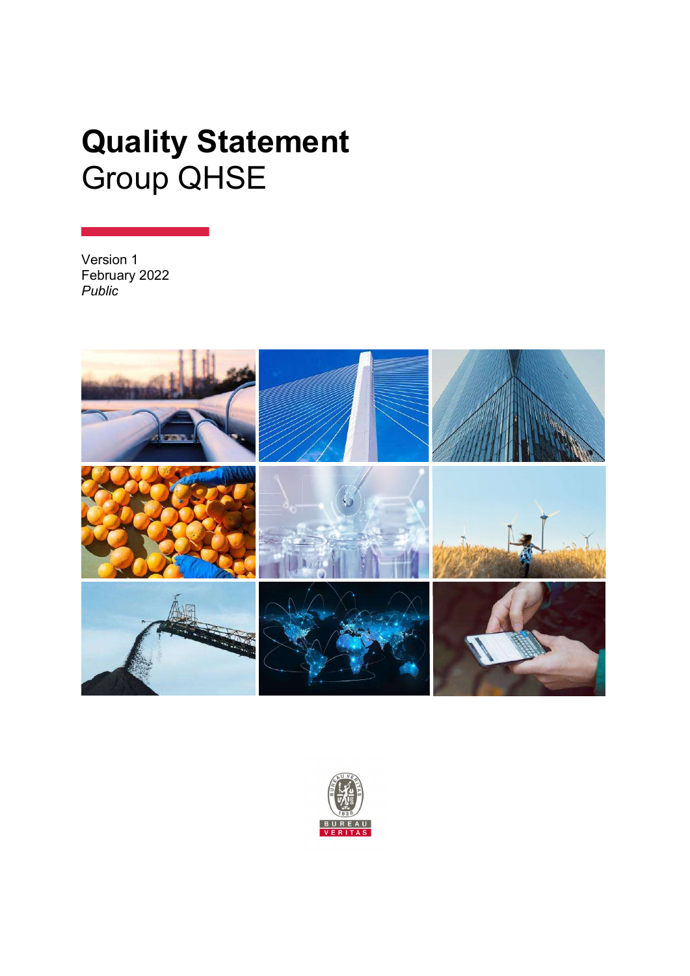# Quality Statement Group QHSE

Version 1 February 2022 Public